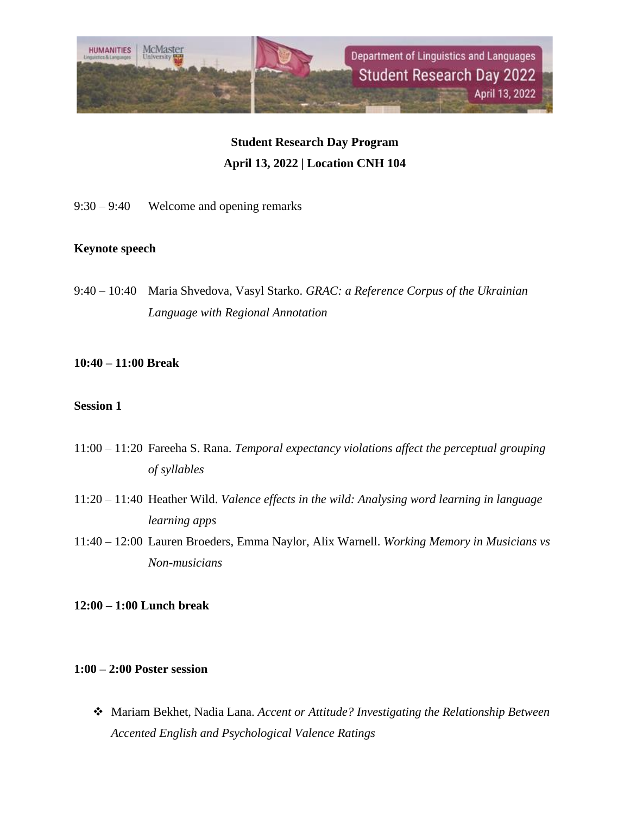

# **Student Research Day Program April 13, 2022 | Location CNH 104**

9:30 – 9:40 Welcome and opening remarks

## **Keynote speech**

9:40 – 10:40 Maria Shvedova, Vasyl Starko. *GRAC: a Reference Corpus of the Ukrainian Language with Regional Annotation*

## **10:40 – 11:00 Break**

#### **Session 1**

- 11:00 11:20 Fareeha S. Rana. *Temporal expectancy violations affect the perceptual grouping of syllables*
- 11:20 11:40 Heather Wild. *Valence effects in the wild: Analysing word learning in language learning apps*
- 11:40 12:00 Lauren Broeders, Emma Naylor, Alix Warnell. *Working Memory in Musicians vs Non-musicians*

## **12:00 – 1:00 Lunch break**

## **1:00 – 2:00 Poster session**

❖ Mariam Bekhet, Nadia Lana. *Accent or Attitude? Investigating the Relationship Between Accented English and Psychological Valence Ratings*